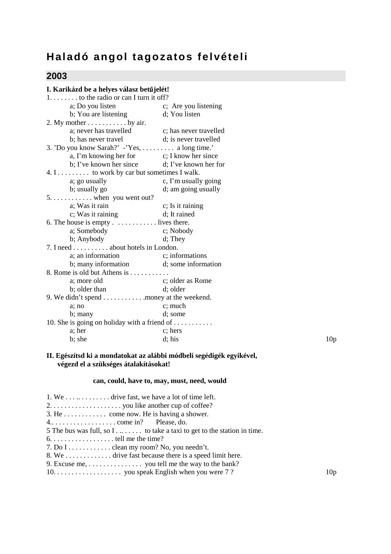# **Haladó angol tagozatos felvételi**

## **2003**

| I. Karikázd be a helyes válasz betűjelét!              |                                                                                                                                                                                                                                                                                                                                                                                                                                                                                                                                                                                                                                                                                                                                                                   |
|--------------------------------------------------------|-------------------------------------------------------------------------------------------------------------------------------------------------------------------------------------------------------------------------------------------------------------------------------------------------------------------------------------------------------------------------------------------------------------------------------------------------------------------------------------------------------------------------------------------------------------------------------------------------------------------------------------------------------------------------------------------------------------------------------------------------------------------|
| $1, \ldots, \ldots$ to the radio or can I turn it off? |                                                                                                                                                                                                                                                                                                                                                                                                                                                                                                                                                                                                                                                                                                                                                                   |
|                                                        |                                                                                                                                                                                                                                                                                                                                                                                                                                                                                                                                                                                                                                                                                                                                                                   |
| b; You are listening<br>d; You listen                  |                                                                                                                                                                                                                                                                                                                                                                                                                                                                                                                                                                                                                                                                                                                                                                   |
|                                                        |                                                                                                                                                                                                                                                                                                                                                                                                                                                                                                                                                                                                                                                                                                                                                                   |
|                                                        |                                                                                                                                                                                                                                                                                                                                                                                                                                                                                                                                                                                                                                                                                                                                                                   |
|                                                        |                                                                                                                                                                                                                                                                                                                                                                                                                                                                                                                                                                                                                                                                                                                                                                   |
|                                                        |                                                                                                                                                                                                                                                                                                                                                                                                                                                                                                                                                                                                                                                                                                                                                                   |
| a, I'm knowing her for c; I know her since             |                                                                                                                                                                                                                                                                                                                                                                                                                                                                                                                                                                                                                                                                                                                                                                   |
|                                                        |                                                                                                                                                                                                                                                                                                                                                                                                                                                                                                                                                                                                                                                                                                                                                                   |
|                                                        |                                                                                                                                                                                                                                                                                                                                                                                                                                                                                                                                                                                                                                                                                                                                                                   |
| c, I'm usually going                                   |                                                                                                                                                                                                                                                                                                                                                                                                                                                                                                                                                                                                                                                                                                                                                                   |
|                                                        |                                                                                                                                                                                                                                                                                                                                                                                                                                                                                                                                                                                                                                                                                                                                                                   |
|                                                        |                                                                                                                                                                                                                                                                                                                                                                                                                                                                                                                                                                                                                                                                                                                                                                   |
|                                                        |                                                                                                                                                                                                                                                                                                                                                                                                                                                                                                                                                                                                                                                                                                                                                                   |
|                                                        |                                                                                                                                                                                                                                                                                                                                                                                                                                                                                                                                                                                                                                                                                                                                                                   |
|                                                        |                                                                                                                                                                                                                                                                                                                                                                                                                                                                                                                                                                                                                                                                                                                                                                   |
|                                                        |                                                                                                                                                                                                                                                                                                                                                                                                                                                                                                                                                                                                                                                                                                                                                                   |
|                                                        |                                                                                                                                                                                                                                                                                                                                                                                                                                                                                                                                                                                                                                                                                                                                                                   |
|                                                        |                                                                                                                                                                                                                                                                                                                                                                                                                                                                                                                                                                                                                                                                                                                                                                   |
|                                                        |                                                                                                                                                                                                                                                                                                                                                                                                                                                                                                                                                                                                                                                                                                                                                                   |
|                                                        |                                                                                                                                                                                                                                                                                                                                                                                                                                                                                                                                                                                                                                                                                                                                                                   |
|                                                        |                                                                                                                                                                                                                                                                                                                                                                                                                                                                                                                                                                                                                                                                                                                                                                   |
|                                                        |                                                                                                                                                                                                                                                                                                                                                                                                                                                                                                                                                                                                                                                                                                                                                                   |
|                                                        |                                                                                                                                                                                                                                                                                                                                                                                                                                                                                                                                                                                                                                                                                                                                                                   |
|                                                        |                                                                                                                                                                                                                                                                                                                                                                                                                                                                                                                                                                                                                                                                                                                                                                   |
|                                                        |                                                                                                                                                                                                                                                                                                                                                                                                                                                                                                                                                                                                                                                                                                                                                                   |
|                                                        |                                                                                                                                                                                                                                                                                                                                                                                                                                                                                                                                                                                                                                                                                                                                                                   |
|                                                        |                                                                                                                                                                                                                                                                                                                                                                                                                                                                                                                                                                                                                                                                                                                                                                   |
|                                                        |                                                                                                                                                                                                                                                                                                                                                                                                                                                                                                                                                                                                                                                                                                                                                                   |
|                                                        | 10 <sub>p</sub>                                                                                                                                                                                                                                                                                                                                                                                                                                                                                                                                                                                                                                                                                                                                                   |
|                                                        | a; Do you listen c; Are you listening<br>a; never has travelled c; has never travelled<br>d; is never travelled<br>3. 'Do you know Sarah?' -'Yes,  a long time.'<br>b; I've known her since d; I've known her for<br>4. I to work by car but sometimes I walk.<br>d; am going usually<br>c; Is it raining<br>d; It rained<br>6. The house is empty $\dots \dots \dots \dots$ lives there.<br>c; Nobody<br>d; They<br>7. I need about hotels in London.<br>a; an information c; informations<br>b; many information d; some information<br>8. Rome is old but Athens is<br>c; older as Rome<br>d; older<br>9. We didn't spend money at the weekend.<br>c; much<br>d; some<br>10. She is going on holiday with a friend of $\dots \dots \dots$<br>c; hers<br>d; his |

#### **II. Egészítsd ki a mondatokat az alábbi módbeli segédigék egyikével, végezd el a szükséges átalakításokat!**

#### **can, could, have to, may, must, need, would**

| 10 <sub>p</sub> |
|-----------------|
|                 |